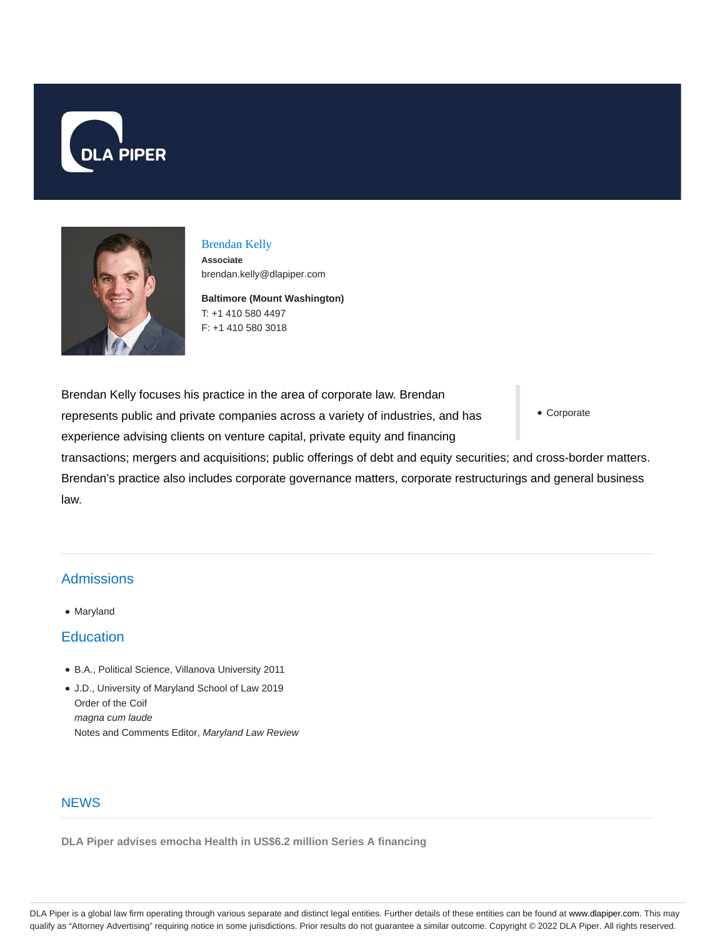



## Brendan Kelly

**Associate** brendan.kelly@dlapiper.com

**Baltimore (Mount Washington)** T: +1 410 580 4497 F: +1 410 580 3018

Brendan Kelly focuses his practice in the area of corporate law. Brendan represents public and private companies across a variety of industries, and has experience advising clients on venture capital, private equity and financing

Corporate

transactions; mergers and acquisitions; public offerings of debt and equity securities; and cross-border matters. Brendan's practice also includes corporate governance matters, corporate restructurings and general business law.

# **Admissions**

• Maryland

### **Education**

- B.A., Political Science, Villanova University 2011
- J.D., University of Maryland School of Law 2019 Order of the Coif magna cum laude Notes and Comments Editor, Maryland Law Review

### **NEWS**

**DLA Piper advises emocha Health in US\$6.2 million Series A financing**

DLA Piper is a global law firm operating through various separate and distinct legal entities. Further details of these entities can be found at www.dlapiper.com. This may qualify as "Attorney Advertising" requiring notice in some jurisdictions. Prior results do not guarantee a similar outcome. Copyright © 2022 DLA Piper. All rights reserved.